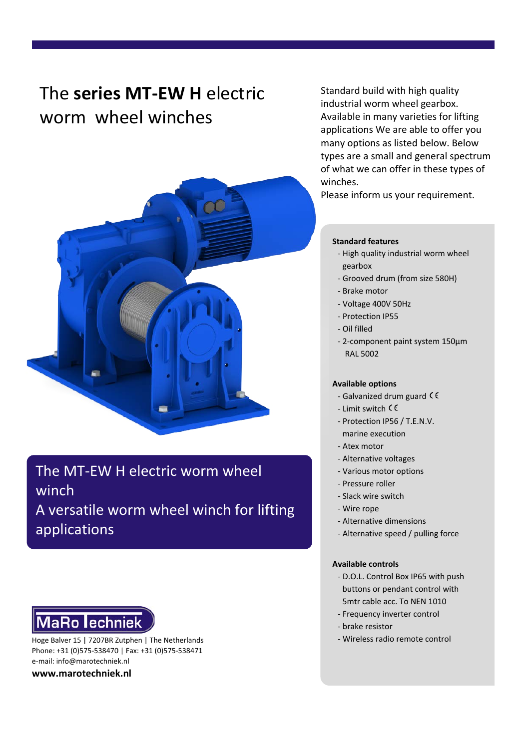# The **series MT-EW H** electric worm wheel winches



The MT-EW H electric worm wheel winch A versatile worm wheel winch for lifting applications

# **MaRo lechniek**

Hoge Balver 15 | 7207BR Zutphen | The Netherlands - Wireless radio remote control Phone: +31 (0)575-538470 | Fax: +31 (0)575-538471 e-mail: info@marotechniek.nl

**www.marotechniek.nl**

Standard build with high quality industrial worm wheel gearbox. Available in many varieties for lifting applications We are able to offer you many options as listed below. Below types are a small and general spectrum of what we can offer in these types of winches.

Please inform us your requirement.

#### **Standard features**

- High quality industrial worm wheel gearbox
- Grooved drum (from size 580H)
- Brake motor
- Voltage 400V 50Hz
- Protection IP55
- Oil filled
- 2-component paint system 150μm RAL 5002

#### **Available options**

- Galvanized drum guard  $\zeta \zeta$
- Limit switch
- Protection IP56 / T.E.N.V.
- marine execution
- Atex motor
- Alternative voltages
- Various motor options
- Pressure roller
- Slack wire switch
- Wire rope
- Alternative dimensions
- Alternative speed / pulling force

#### **Available controls**

- D.O.L. Control Box IP65 with push buttons or pendant control with 5mtr cable acc. To NEN 1010
- Frequency inverter control
- brake resistor
-